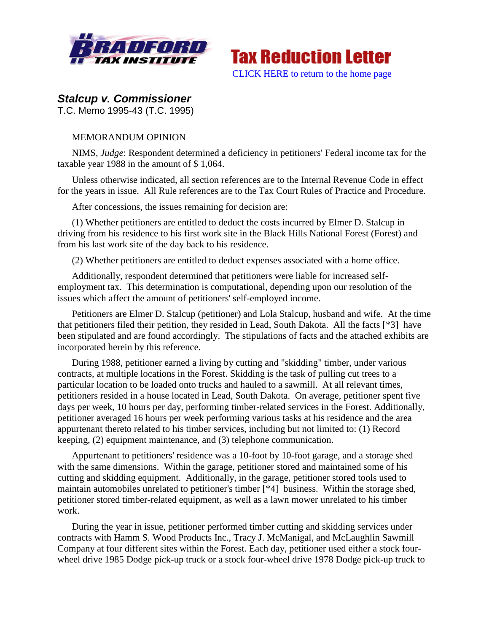



## *Stalcup v. Commissioner*

T.C. Memo 1995-43 (T.C. 1995)

## MEMORANDUM OPINION

NIMS, *Judge*: Respondent determined a deficiency in petitioners' Federal income tax for the taxable year 1988 in the amount of \$ 1,064.

Unless otherwise indicated, all section references are to the Internal Revenue Code in effect for the years in issue. All Rule references are to the Tax Court Rules of Practice and Procedure.

After concessions, the issues remaining for decision are:

(1) Whether petitioners are entitled to deduct the costs incurred by Elmer D. Stalcup in driving from his residence to his first work site in the Black Hills National Forest (Forest) and from his last work site of the day back to his residence.

(2) Whether petitioners are entitled to deduct expenses associated with a home office.

Additionally, respondent determined that petitioners were liable for increased selfemployment tax. This determination is computational, depending upon our resolution of the issues which affect the amount of petitioners' self-employed income.

Petitioners are Elmer D. Stalcup (petitioner) and Lola Stalcup, husband and wife. At the time that petitioners filed their petition, they resided in Lead, South Dakota. All the facts [\*3] have been stipulated and are found accordingly. The stipulations of facts and the attached exhibits are incorporated herein by this reference.

During 1988, petitioner earned a living by cutting and "skidding" timber, under various contracts, at multiple locations in the Forest. Skidding is the task of pulling cut trees to a particular location to be loaded onto trucks and hauled to a sawmill. At all relevant times, petitioners resided in a house located in Lead, South Dakota. On average, petitioner spent five days per week, 10 hours per day, performing timber-related services in the Forest. Additionally, petitioner averaged 16 hours per week performing various tasks at his residence and the area appurtenant thereto related to his timber services, including but not limited to: (1) Record keeping, (2) equipment maintenance, and (3) telephone communication.

Appurtenant to petitioners' residence was a 10-foot by 10-foot garage, and a storage shed with the same dimensions. Within the garage, petitioner stored and maintained some of his cutting and skidding equipment. Additionally, in the garage, petitioner stored tools used to maintain automobiles unrelated to petitioner's timber [\*4] business. Within the storage shed, petitioner stored timber-related equipment, as well as a lawn mower unrelated to his timber work.

During the year in issue, petitioner performed timber cutting and skidding services under contracts with Hamm S. Wood Products Inc., Tracy J. McManigal, and McLaughlin Sawmill Company at four different sites within the Forest. Each day, petitioner used either a stock fourwheel drive 1985 Dodge pick-up truck or a stock four-wheel drive 1978 Dodge pick-up truck to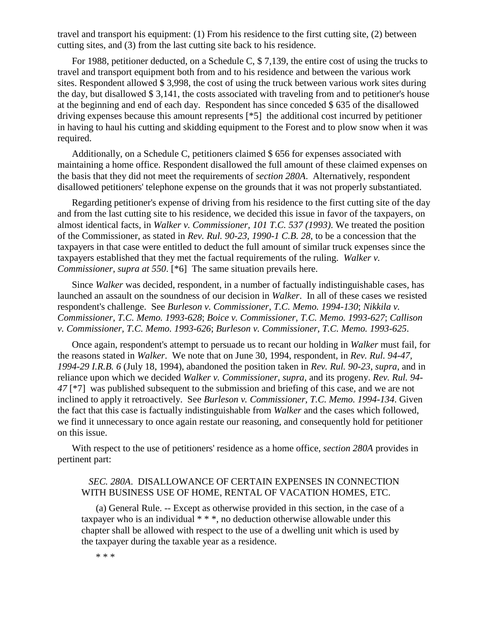travel and transport his equipment: (1) From his residence to the first cutting site, (2) between cutting sites, and (3) from the last cutting site back to his residence.

For 1988, petitioner deducted, on a Schedule C, \$ 7,139, the entire cost of using the trucks to travel and transport equipment both from and to his residence and between the various work sites. Respondent allowed \$ 3,998, the cost of using the truck between various work sites during the day, but disallowed \$ 3,141, the costs associated with traveling from and to petitioner's house at the beginning and end of each day. Respondent has since conceded \$ 635 of the disallowed driving expenses because this amount represents [\*5] the additional cost incurred by petitioner in having to haul his cutting and skidding equipment to the Forest and to plow snow when it was required.

Additionally, on a Schedule C, petitioners claimed \$ 656 for expenses associated with maintaining a home office. Respondent disallowed the full amount of these claimed expenses on the basis that they did not meet the requirements of *section 280A*. Alternatively, respondent disallowed petitioners' telephone expense on the grounds that it was not properly substantiated.

Regarding petitioner's expense of driving from his residence to the first cutting site of the day and from the last cutting site to his residence, we decided this issue in favor of the taxpayers, on almost identical facts, in *Walker v. Commissioner, 101 T.C. 537 (1993)*. We treated the position of the Commissioner, as stated in *Rev. Rul. 90-23, 1990-1 C.B. 28*, to be a concession that the taxpayers in that case were entitled to deduct the full amount of similar truck expenses since the taxpayers established that they met the factual requirements of the ruling. *Walker v. Commissioner, supra at 550*. [\*6] The same situation prevails here.

Since *Walker* was decided, respondent, in a number of factually indistinguishable cases, has launched an assault on the soundness of our decision in *Walker*. In all of these cases we resisted respondent's challenge. See *Burleson v. Commissioner, T.C. Memo. 1994-130*; *Nikkila v. Commissioner, T.C. Memo. 1993-628*; *Boice v. Commissioner, T.C. Memo. 1993-627*; *Callison v. Commissioner, T.C. Memo. 1993-626*; *Burleson v. Commissioner, T.C. Memo. 1993-625*.

Once again, respondent's attempt to persuade us to recant our holding in *Walker* must fail, for the reasons stated in *Walker*. We note that on June 30, 1994, respondent, in *Rev. Rul. 94-47, 1994-29 I.R.B. 6* (July 18, 1994), abandoned the position taken in *Rev. Rul. 90-23*, *supra*, and in reliance upon which we decided *Walker v. Commissioner, supra*, and its progeny. *Rev. Rul. 94- 47* [\*7] was published subsequent to the submission and briefing of this case, and we are not inclined to apply it retroactively. See *Burleson v. Commissioner, T.C. Memo. 1994-134*. Given the fact that this case is factually indistinguishable from *Walker* and the cases which followed, we find it unnecessary to once again restate our reasoning, and consequently hold for petitioner on this issue.

With respect to the use of petitioners' residence as a home office, *section 280A* provides in pertinent part:

## *SEC. 280A*. DISALLOWANCE OF CERTAIN EXPENSES IN CONNECTION WITH BUSINESS USE OF HOME, RENTAL OF VACATION HOMES, ETC.

(a) General Rule. -- Except as otherwise provided in this section, in the case of a taxpayer who is an individual  $***$ , no deduction otherwise allowable under this chapter shall be allowed with respect to the use of a dwelling unit which is used by the taxpayer during the taxable year as a residence.

\* \* \*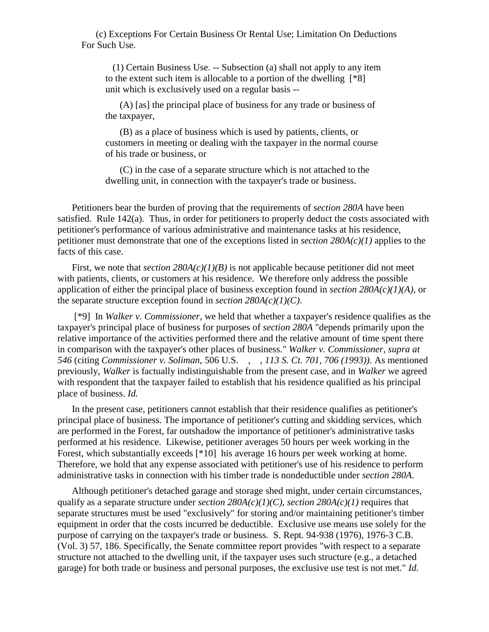(c) Exceptions For Certain Business Or Rental Use; Limitation On Deductions For Such Use.

 (1) Certain Business Use. -- Subsection (a) shall not apply to any item to the extent such item is allocable to a portion of the dwelling [\*8] unit which is exclusively used on a regular basis --

(A) [as] the principal place of business for any trade or business of the taxpayer,

(B) as a place of business which is used by patients, clients, or customers in meeting or dealing with the taxpayer in the normal course of his trade or business, or

(C) in the case of a separate structure which is not attached to the dwelling unit, in connection with the taxpayer's trade or business.

Petitioners bear the burden of proving that the requirements of *section 280A* have been satisfied. Rule 142(a). Thus, in order for petitioners to properly deduct the costs associated with petitioner's performance of various administrative and maintenance tasks at his residence, petitioner must demonstrate that one of the exceptions listed in *section 280A(c)(1)* applies to the facts of this case.

First, we note that *section*  $280A(c)(1)(B)$  is not applicable because petitioner did not meet with patients, clients, or customers at his residence. We therefore only address the possible application of either the principal place of business exception found in *section 280A(c)(1)(A)*, or the separate structure exception found in *section 280A(c)(1)(C)*.

[\*9] In *Walker v. Commissioner*, we held that whether a taxpayer's residence qualifies as the taxpayer's principal place of business for purposes of *section 280A* "depends primarily upon the relative importance of the activities performed there and the relative amount of time spent there in comparison with the taxpayer's other places of business." *Walker v. Commissioner, supra at 546* (citing *Commissioner v. Soliman*, 506 U.S. , , *113 S. Ct. 701, 706 (1993))*. As mentioned previously, *Walker* is factually indistinguishable from the present case, and in *Walker* we agreed with respondent that the taxpayer failed to establish that his residence qualified as his principal place of business. *Id.*

In the present case, petitioners cannot establish that their residence qualifies as petitioner's principal place of business. The importance of petitioner's cutting and skidding services, which are performed in the Forest, far outshadow the importance of petitioner's administrative tasks performed at his residence. Likewise, petitioner averages 50 hours per week working in the Forest, which substantially exceeds [\*10] his average 16 hours per week working at home. Therefore, we hold that any expense associated with petitioner's use of his residence to perform administrative tasks in connection with his timber trade is nondeductible under *section 280A*.

Although petitioner's detached garage and storage shed might, under certain circumstances, qualify as a separate structure under *section 280A(c)(1)(C)*, *section 280A(c)(1)* requires that separate structures must be used "exclusively" for storing and/or maintaining petitioner's timber equipment in order that the costs incurred be deductible. Exclusive use means use solely for the purpose of carrying on the taxpayer's trade or business. S. Rept. 94-938 (1976), 1976-3 C.B. (Vol. 3) 57, 186. Specifically, the Senate committee report provides "with respect to a separate structure not attached to the dwelling unit, if the taxpayer uses such structure (e.g., a detached garage) for both trade or business and personal purposes, the exclusive use test is not met." *Id.*